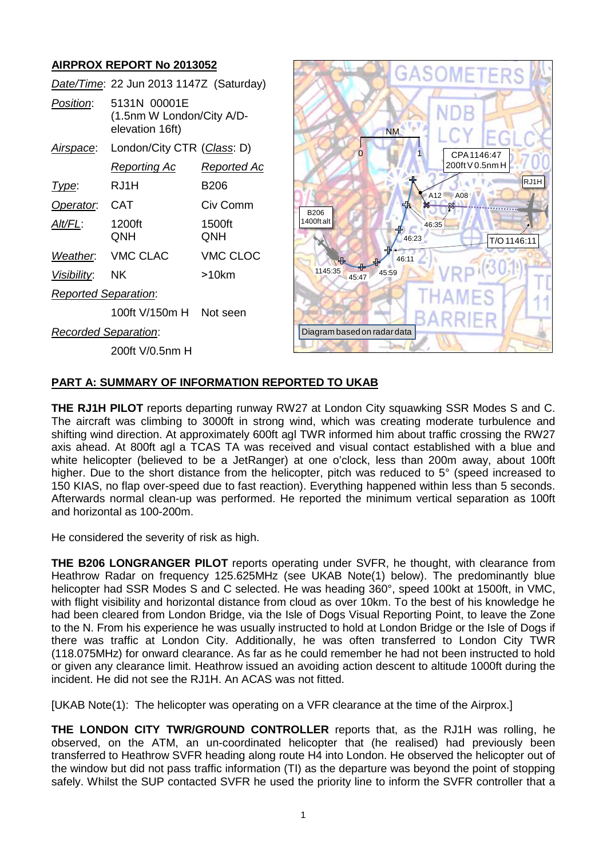# **AIRPROX REPORT No 2013052**

|                             | Date/Time: 22 Jun 2013 1147Z (Saturday)                      |               |
|-----------------------------|--------------------------------------------------------------|---------------|
| Position:                   | 5131N 00001E<br>(1.5nm W London/City A/D-<br>elevation 16ft) |               |
| Airspace:                   | London/City CTR (Class: D)                                   |               |
|                             | Reporting Ac                                                 | Reported Ac   |
| Type:                       | RJ1H                                                         | B206          |
| Operator.                   | CAT                                                          | Civ Comm      |
| Alt/FL:                     | 1200ft<br>QNH                                                | 1500ft<br>QNH |
| Weather.                    | <b>VMC CLAC</b>                                              | VMC CLOC      |
| <u>Visibility:</u>          | ΝK                                                           | >10km         |
| <b>Reported Separation:</b> |                                                              |               |
|                             | 100ft V/150m H                                               | Not seen      |
| Recorded Separation:        |                                                              |               |
|                             | 200ft V/0.5nm H                                              |               |



### **PART A: SUMMARY OF INFORMATION REPORTED TO UKAB**

**THE RJ1H PILOT** reports departing runway RW27 at London City squawking SSR Modes S and C. The aircraft was climbing to 3000ft in strong wind, which was creating moderate turbulence and shifting wind direction. At approximately 600ft agl TWR informed him about traffic crossing the RW27 axis ahead. At 800ft agl a TCAS TA was received and visual contact established with a blue and white helicopter (believed to be a JetRanger) at one o'clock, less than 200m away, about 100ft higher. Due to the short distance from the helicopter, pitch was reduced to 5° (speed increased to 150 KIAS, no flap over-speed due to fast reaction). Everything happened within less than 5 seconds. Afterwards normal clean-up was performed. He reported the minimum vertical separation as 100ft and horizontal as 100-200m.

He considered the severity of risk as high.

**THE B206 LONGRANGER PILOT** reports operating under SVFR, he thought, with clearance from Heathrow Radar on frequency 125.625MHz (see UKAB Note(1) below). The predominantly blue helicopter had SSR Modes S and C selected. He was heading 360°, speed 100kt at 1500ft, in VMC, with flight visibility and horizontal distance from cloud as over 10km. To the best of his knowledge he had been cleared from London Bridge, via the Isle of Dogs Visual Reporting Point, to leave the Zone to the N. From his experience he was usually instructed to hold at London Bridge or the Isle of Dogs if there was traffic at London City. Additionally, he was often transferred to London City TWR (118.075MHz) for onward clearance. As far as he could remember he had not been instructed to hold or given any clearance limit. Heathrow issued an avoiding action descent to altitude 1000ft during the incident. He did not see the RJ1H. An ACAS was not fitted.

[UKAB Note(1): The helicopter was operating on a VFR clearance at the time of the Airprox.]

**THE LONDON CITY TWR/GROUND CONTROLLER** reports that, as the RJ1H was rolling, he observed, on the ATM, an un-coordinated helicopter that (he realised) had previously been transferred to Heathrow SVFR heading along route H4 into London. He observed the helicopter out of the window but did not pass traffic information (TI) as the departure was beyond the point of stopping safely. Whilst the SUP contacted SVFR he used the priority line to inform the SVFR controller that a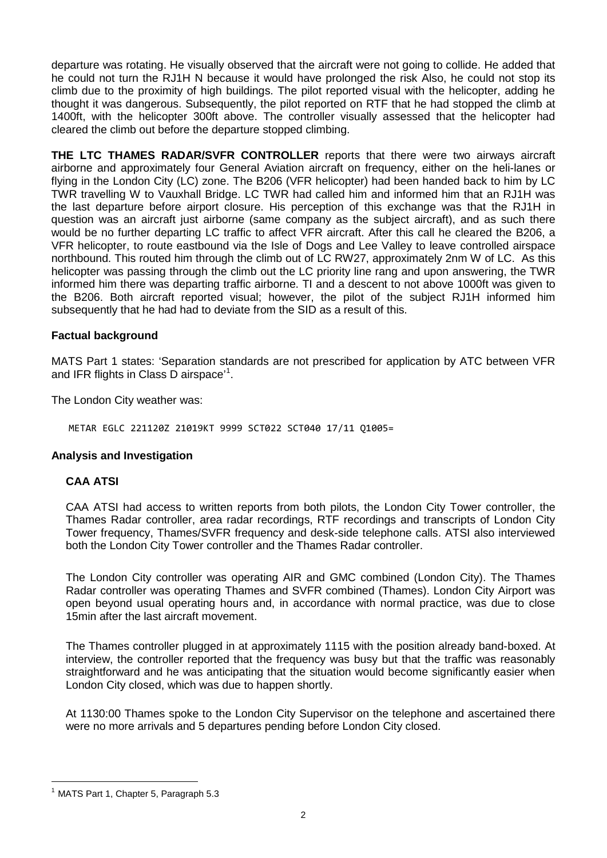departure was rotating. He visually observed that the aircraft were not going to collide. He added that he could not turn the RJ1H N because it would have prolonged the risk Also, he could not stop its climb due to the proximity of high buildings. The pilot reported visual with the helicopter, adding he thought it was dangerous. Subsequently, the pilot reported on RTF that he had stopped the climb at 1400ft, with the helicopter 300ft above. The controller visually assessed that the helicopter had cleared the climb out before the departure stopped climbing.

**THE LTC THAMES RADAR/SVFR CONTROLLER** reports that there were two airways aircraft airborne and approximately four General Aviation aircraft on frequency, either on the heli-lanes or flying in the London City (LC) zone. The B206 (VFR helicopter) had been handed back to him by LC TWR travelling W to Vauxhall Bridge. LC TWR had called him and informed him that an RJ1H was the last departure before airport closure. His perception of this exchange was that the RJ1H in question was an aircraft just airborne (same company as the subject aircraft), and as such there would be no further departing LC traffic to affect VFR aircraft. After this call he cleared the B206, a VFR helicopter, to route eastbound via the Isle of Dogs and Lee Valley to leave controlled airspace northbound. This routed him through the climb out of LC RW27, approximately 2nm W of LC. As this helicopter was passing through the climb out the LC priority line rang and upon answering, the TWR informed him there was departing traffic airborne. TI and a descent to not above 1000ft was given to the B206. Both aircraft reported visual; however, the pilot of the subject RJ1H informed him subsequently that he had had to deviate from the SID as a result of this.

#### **Factual background**

MATS Part 1 states: 'Separation standards are not prescribed for application by ATC between VFR and IFR flights in Class D airspace'<sup>[1](#page-1-0)</sup>.

The London City weather was:

METAR EGLC 221120Z 21019KT 9999 SCT022 SCT040 17/11 Q1005=

#### **Analysis and Investigation**

#### **CAA ATSI**

CAA ATSI had access to written reports from both pilots, the London City Tower controller, the Thames Radar controller, area radar recordings, RTF recordings and transcripts of London City Tower frequency, Thames/SVFR frequency and desk-side telephone calls. ATSI also interviewed both the London City Tower controller and the Thames Radar controller.

The London City controller was operating AIR and GMC combined (London City). The Thames Radar controller was operating Thames and SVFR combined (Thames). London City Airport was open beyond usual operating hours and, in accordance with normal practice, was due to close 15min after the last aircraft movement.

The Thames controller plugged in at approximately 1115 with the position already band-boxed. At interview, the controller reported that the frequency was busy but that the traffic was reasonably straightforward and he was anticipating that the situation would become significantly easier when London City closed, which was due to happen shortly.

At 1130:00 Thames spoke to the London City Supervisor on the telephone and ascertained there were no more arrivals and 5 departures pending before London City closed.

l

<span id="page-1-0"></span><sup>&</sup>lt;sup>1</sup> MATS Part 1, Chapter 5, Paragraph 5.3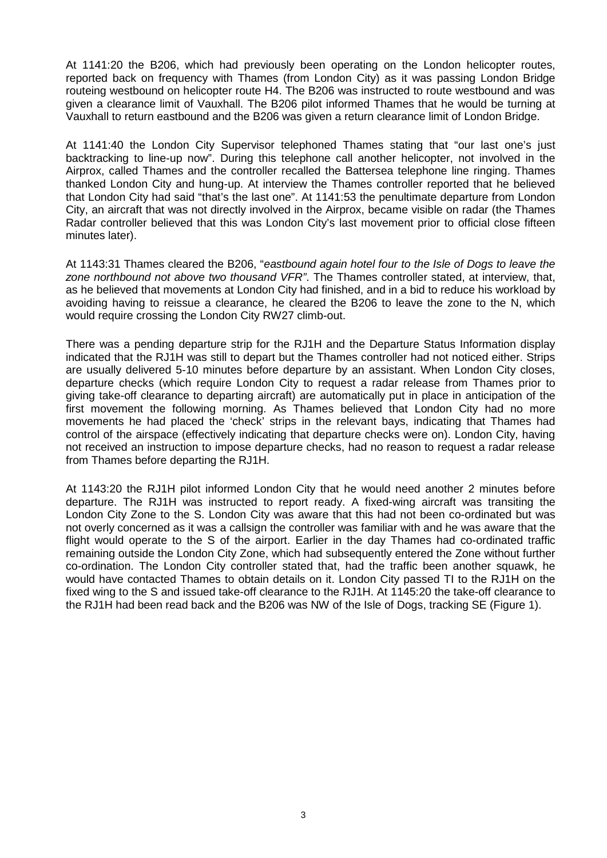At 1141:20 the B206, which had previously been operating on the London helicopter routes, reported back on frequency with Thames (from London City) as it was passing London Bridge routeing westbound on helicopter route H4. The B206 was instructed to route westbound and was given a clearance limit of Vauxhall. The B206 pilot informed Thames that he would be turning at Vauxhall to return eastbound and the B206 was given a return clearance limit of London Bridge.

At 1141:40 the London City Supervisor telephoned Thames stating that "our last one's just backtracking to line-up now". During this telephone call another helicopter, not involved in the Airprox, called Thames and the controller recalled the Battersea telephone line ringing. Thames thanked London City and hung-up. At interview the Thames controller reported that he believed that London City had said "that's the last one". At 1141:53 the penultimate departure from London City, an aircraft that was not directly involved in the Airprox, became visible on radar (the Thames Radar controller believed that this was London City's last movement prior to official close fifteen minutes later).

At 1143:31 Thames cleared the B206, "*eastbound again hotel four to the Isle of Dogs to leave the zone northbound not above two thousand VFR"*. The Thames controller stated, at interview, that, as he believed that movements at London City had finished, and in a bid to reduce his workload by avoiding having to reissue a clearance, he cleared the B206 to leave the zone to the N, which would require crossing the London City RW27 climb-out.

There was a pending departure strip for the RJ1H and the Departure Status Information display indicated that the RJ1H was still to depart but the Thames controller had not noticed either. Strips are usually delivered 5-10 minutes before departure by an assistant. When London City closes, departure checks (which require London City to request a radar release from Thames prior to giving take-off clearance to departing aircraft) are automatically put in place in anticipation of the first movement the following morning. As Thames believed that London City had no more movements he had placed the 'check' strips in the relevant bays, indicating that Thames had control of the airspace (effectively indicating that departure checks were on). London City, having not received an instruction to impose departure checks, had no reason to request a radar release from Thames before departing the RJ1H.

At 1143:20 the RJ1H pilot informed London City that he would need another 2 minutes before departure. The RJ1H was instructed to report ready. A fixed-wing aircraft was transiting the London City Zone to the S. London City was aware that this had not been co-ordinated but was not overly concerned as it was a callsign the controller was familiar with and he was aware that the flight would operate to the S of the airport. Earlier in the day Thames had co-ordinated traffic remaining outside the London City Zone, which had subsequently entered the Zone without further co-ordination. The London City controller stated that, had the traffic been another squawk, he would have contacted Thames to obtain details on it. London City passed TI to the RJ1H on the fixed wing to the S and issued take-off clearance to the RJ1H. At 1145:20 the take-off clearance to the RJ1H had been read back and the B206 was NW of the Isle of Dogs, tracking SE (Figure 1).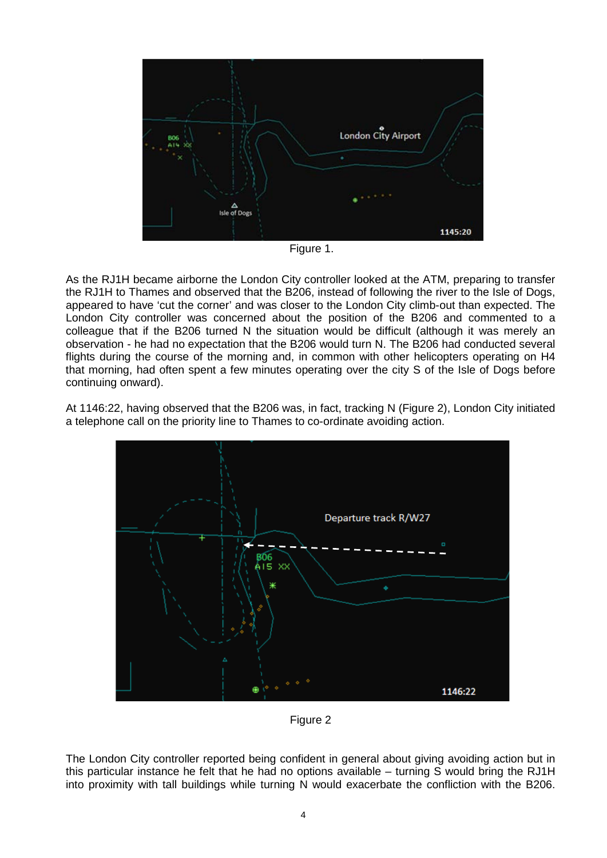

Figure 1.

As the RJ1H became airborne the London City controller looked at the ATM, preparing to transfer the RJ1H to Thames and observed that the B206, instead of following the river to the Isle of Dogs, appeared to have 'cut the corner' and was closer to the London City climb-out than expected. The London City controller was concerned about the position of the B206 and commented to a colleague that if the B206 turned N the situation would be difficult (although it was merely an observation - he had no expectation that the B206 would turn N. The B206 had conducted several flights during the course of the morning and, in common with other helicopters operating on H4 that morning, had often spent a few minutes operating over the city S of the Isle of Dogs before continuing onward).

At 1146:22, having observed that the B206 was, in fact, tracking N (Figure 2), London City initiated a telephone call on the priority line to Thames to co-ordinate avoiding action.



Figure 2

The London City controller reported being confident in general about giving avoiding action but in this particular instance he felt that he had no options available – turning S would bring the RJ1H into proximity with tall buildings while turning N would exacerbate the confliction with the B206.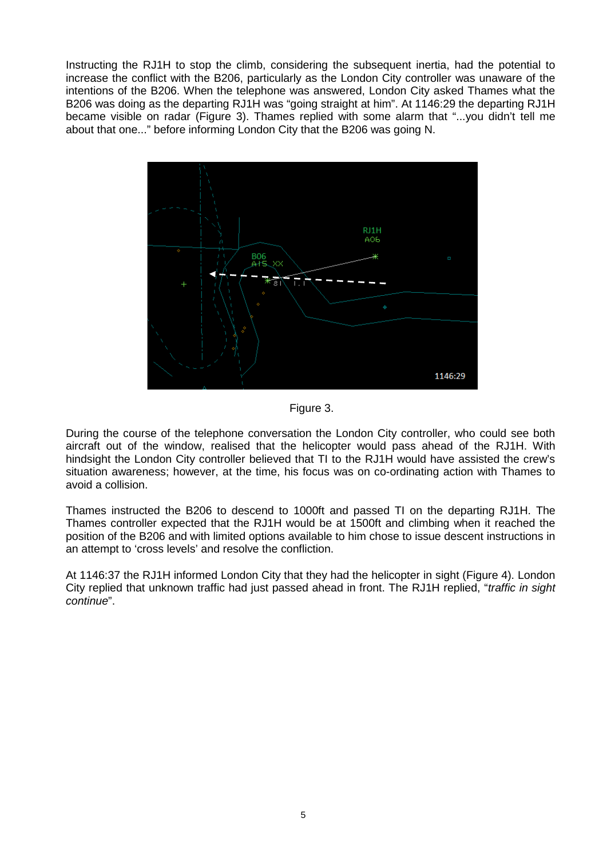Instructing the RJ1H to stop the climb, considering the subsequent inertia, had the potential to increase the conflict with the B206, particularly as the London City controller was unaware of the intentions of the B206. When the telephone was answered, London City asked Thames what the B206 was doing as the departing RJ1H was "going straight at him". At 1146:29 the departing RJ1H became visible on radar (Figure 3). Thames replied with some alarm that "...you didn't tell me about that one..." before informing London City that the B206 was going N.



Figure 3.

During the course of the telephone conversation the London City controller, who could see both aircraft out of the window, realised that the helicopter would pass ahead of the RJ1H. With hindsight the London City controller believed that TI to the RJ1H would have assisted the crew's situation awareness; however, at the time, his focus was on co-ordinating action with Thames to avoid a collision.

Thames instructed the B206 to descend to 1000ft and passed TI on the departing RJ1H. The Thames controller expected that the RJ1H would be at 1500ft and climbing when it reached the position of the B206 and with limited options available to him chose to issue descent instructions in an attempt to 'cross levels' and resolve the confliction.

At 1146:37 the RJ1H informed London City that they had the helicopter in sight (Figure 4). London City replied that unknown traffic had just passed ahead in front. The RJ1H replied, "*traffic in sight continue*".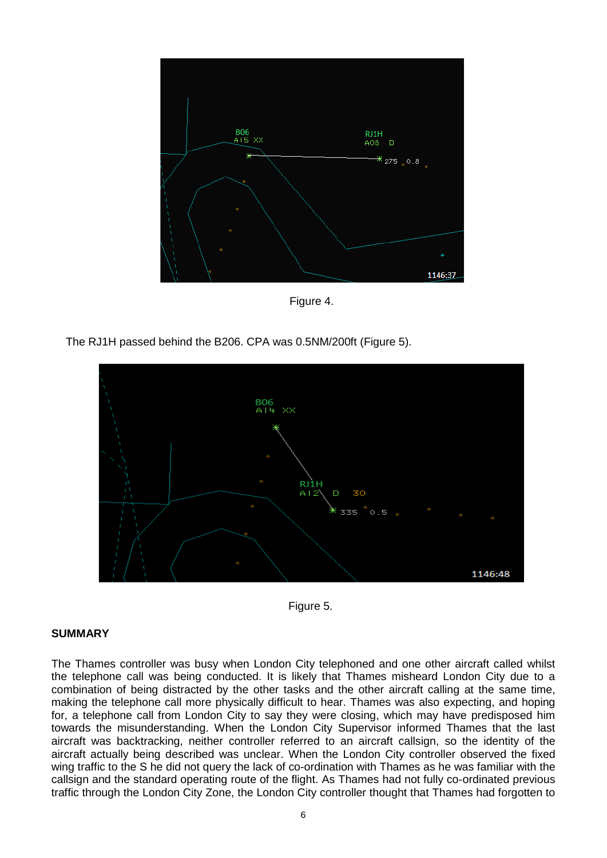

Figure 4.







#### **SUMMARY**

The Thames controller was busy when London City telephoned and one other aircraft called whilst the telephone call was being conducted. It is likely that Thames misheard London City due to a combination of being distracted by the other tasks and the other aircraft calling at the same time, making the telephone call more physically difficult to hear. Thames was also expecting, and hoping for, a telephone call from London City to say they were closing, which may have predisposed him towards the misunderstanding. When the London City Supervisor informed Thames that the last aircraft was backtracking, neither controller referred to an aircraft callsign, so the identity of the aircraft actually being described was unclear. When the London City controller observed the fixed wing traffic to the S he did not query the lack of co-ordination with Thames as he was familiar with the callsign and the standard operating route of the flight. As Thames had not fully co-ordinated previous traffic through the London City Zone, the London City controller thought that Thames had forgotten to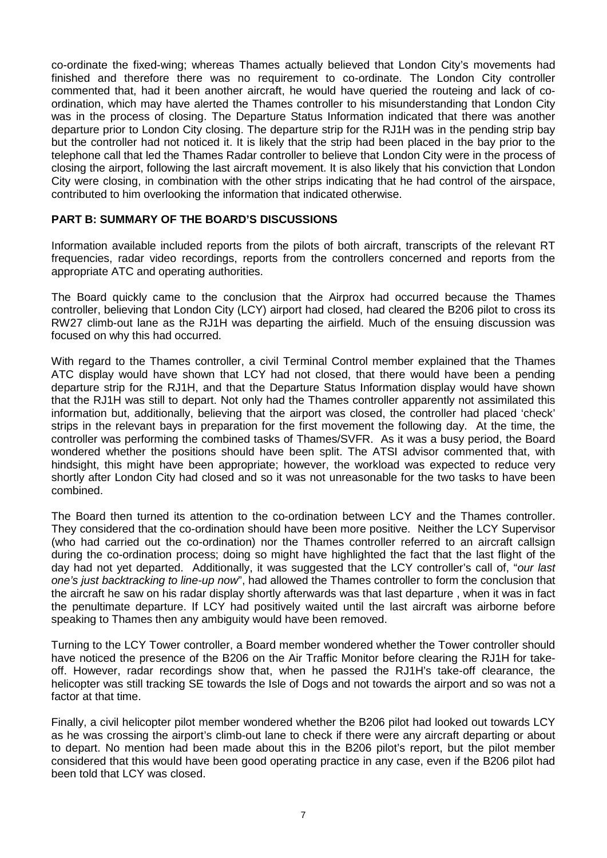co-ordinate the fixed-wing; whereas Thames actually believed that London City's movements had finished and therefore there was no requirement to co-ordinate. The London City controller commented that, had it been another aircraft, he would have queried the routeing and lack of coordination, which may have alerted the Thames controller to his misunderstanding that London City was in the process of closing. The Departure Status Information indicated that there was another departure prior to London City closing. The departure strip for the RJ1H was in the pending strip bay but the controller had not noticed it. It is likely that the strip had been placed in the bay prior to the telephone call that led the Thames Radar controller to believe that London City were in the process of closing the airport, following the last aircraft movement. It is also likely that his conviction that London City were closing, in combination with the other strips indicating that he had control of the airspace, contributed to him overlooking the information that indicated otherwise.

#### **PART B: SUMMARY OF THE BOARD'S DISCUSSIONS**

Information available included reports from the pilots of both aircraft, transcripts of the relevant RT frequencies, radar video recordings, reports from the controllers concerned and reports from the appropriate ATC and operating authorities.

The Board quickly came to the conclusion that the Airprox had occurred because the Thames controller, believing that London City (LCY) airport had closed, had cleared the B206 pilot to cross its RW27 climb-out lane as the RJ1H was departing the airfield. Much of the ensuing discussion was focused on why this had occurred.

With regard to the Thames controller, a civil Terminal Control member explained that the Thames ATC display would have shown that LCY had not closed, that there would have been a pending departure strip for the RJ1H, and that the Departure Status Information display would have shown that the RJ1H was still to depart. Not only had the Thames controller apparently not assimilated this information but, additionally, believing that the airport was closed, the controller had placed 'check' strips in the relevant bays in preparation for the first movement the following day. At the time, the controller was performing the combined tasks of Thames/SVFR. As it was a busy period, the Board wondered whether the positions should have been split. The ATSI advisor commented that, with hindsight, this might have been appropriate; however, the workload was expected to reduce very shortly after London City had closed and so it was not unreasonable for the two tasks to have been combined.

The Board then turned its attention to the co-ordination between LCY and the Thames controller. They considered that the co-ordination should have been more positive. Neither the LCY Supervisor (who had carried out the co-ordination) nor the Thames controller referred to an aircraft callsign during the co-ordination process; doing so might have highlighted the fact that the last flight of the day had not yet departed. Additionally, it was suggested that the LCY controller's call of, "*our last one's just backtracking to line-up now*", had allowed the Thames controller to form the conclusion that the aircraft he saw on his radar display shortly afterwards was that last departure , when it was in fact the penultimate departure. If LCY had positively waited until the last aircraft was airborne before speaking to Thames then any ambiguity would have been removed.

Turning to the LCY Tower controller, a Board member wondered whether the Tower controller should have noticed the presence of the B206 on the Air Traffic Monitor before clearing the RJ1H for takeoff. However, radar recordings show that, when he passed the RJ1H's take-off clearance, the helicopter was still tracking SE towards the Isle of Dogs and not towards the airport and so was not a factor at that time.

Finally, a civil helicopter pilot member wondered whether the B206 pilot had looked out towards LCY as he was crossing the airport's climb-out lane to check if there were any aircraft departing or about to depart. No mention had been made about this in the B206 pilot's report, but the pilot member considered that this would have been good operating practice in any case, even if the B206 pilot had been told that LCY was closed.